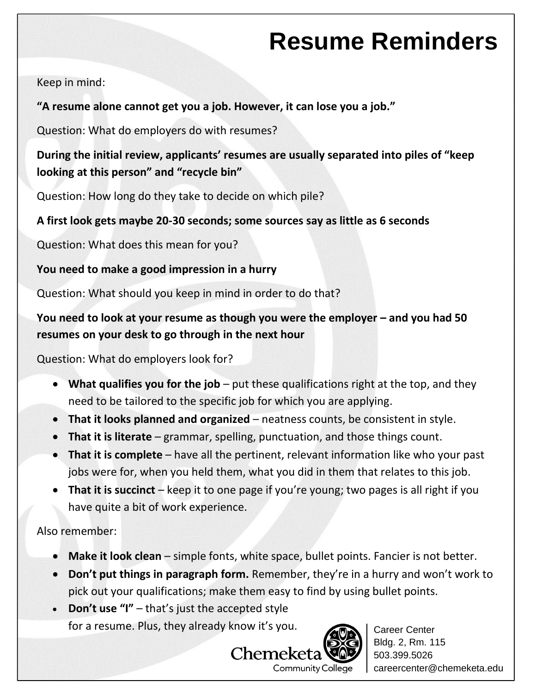## **Resume Reminders**

Keep in mind:

## **"A resume alone cannot get you a job. However, it can lose you a job."**

Question: What do employers do with resumes?

**During the initial review, applicants' resumes are usually separated into piles of "keep looking at this person" and "recycle bin"**

Question: How long do they take to decide on which pile?

## **A first look gets maybe 20-30 seconds; some sources say as little as 6 seconds**

Question: What does this mean for you?

**You need to make a good impression in a hurry**

Question: What should you keep in mind in order to do that?

## **You need to look at your resume as though you were the employer – and you had 50 resumes on your desk to go through in the next hour**

Question: What do employers look for?

- **What qualifies you for the job** put these qualifications right at the top, and they need to be tailored to the specific job for which you are applying.
- **That it looks planned and organized** neatness counts, be consistent in style.
- **That it is literate** grammar, spelling, punctuation, and those things count.
- **That it is complete** have all the pertinent, relevant information like who your past jobs were for, when you held them, what you did in them that relates to this job.
- **That it is succinct** keep it to one page if you're young; two pages is all right if you have quite a bit of work experience.

Also remember:

- **Make it look clean** simple fonts, white space, bullet points. Fancier is not better.
- **Don't put things in paragraph form.** Remember, they're in a hurry and won't work to pick out your qualifications; make them easy to find by using bullet points.
- **Don't use "I"** that's just the accepted style for a resume. Plus, they already know it's you.



Career Center Bldg. 2, Rm. 115 503.399.5026 careercenter@chemeketa.edu